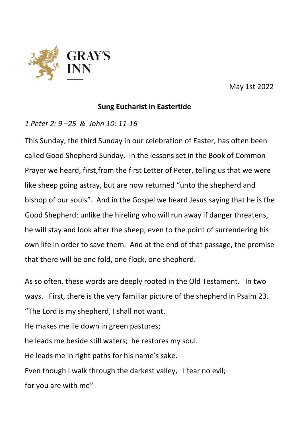

May 1st 2022

## **Sung Eucharist in Eastertide**

*1 Peter 2: 9 –25 & John 10: 11-16*

This Sunday, the third Sunday in our celebration of Easter, has often been called Good Shepherd Sunday. In the lessons set in the Book of Common Prayer we heard, first,from the first Letter of Peter, telling us that we were like sheep going astray, but are now returned "unto the shepherd and bishop of our souls". And in the Gospel we heard Jesus saying that he is the Good Shepherd: unlike the hireling who will run away if danger threatens, he will stay and look after the sheep, even to the point of surrendering his own life in order to save them. And at the end of that passage, the promise that there will be one fold, one flock, one shepherd.

As so often, these words are deeply rooted in the Old Testament. In two ways. First, there is the very familiar picture of the shepherd in Psalm 23. "The Lord is my shepherd, I shall not want.

He makes me lie down in green pastures;

he leads me beside still waters; he restores my soul.

He leads me in right paths for his name's sake.

Even though I walk through the darkest valley, I fear no evil;

for you are with me"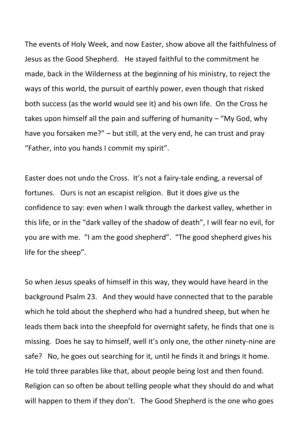The events of Holy Week, and now Easter, show above all the faithfulness of Jesus as the Good Shepherd. He stayed faithful to the commitment he made, back in the Wilderness at the beginning of his ministry, to reject the ways of this world, the pursuit of earthly power, even though that risked both success (as the world would see it) and his own life. On the Cross he takes upon himself all the pain and suffering of humanity – "My God, why have you forsaken me?" – but still, at the very end, he can trust and pray "Father, into you hands I commit my spirit".

Easter does not undo the Cross. It's not a fairy-tale ending, a reversal of fortunes. Ours is not an escapist religion. But it does give us the confidence to say: even when I walk through the darkest valley, whether in this life, or in the "dark valley of the shadow of death", I will fear no evil, for you are with me. "I am the good shepherd". "The good shepherd gives his life for the sheep".

So when Jesus speaks of himself in this way, they would have heard in the background Psalm 23. And they would have connected that to the parable which he told about the shepherd who had a hundred sheep, but when he leads them back into the sheepfold for overnight safety, he finds that one is missing. Does he say to himself, well it's only one, the other ninety-nine are safe? No, he goes out searching for it, until he finds it and brings it home. He told three parables like that, about people being lost and then found. Religion can so often be about telling people what they should do and what will happen to them if they don't. The Good Shepherd is the one who goes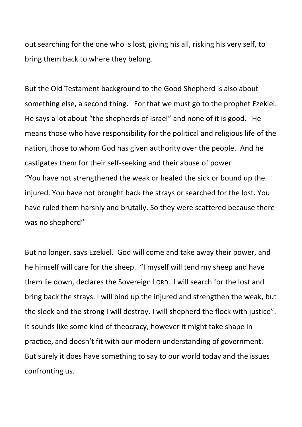out searching for the one who is lost, giving his all, risking his very self, to bring them back to where they belong.

But the Old Testament background to the Good Shepherd is also about something else, a second thing. For that we must go to the prophet Ezekiel. He says a lot about "the shepherds of Israel" and none of it is good. He means those who have responsibility for the political and religious life of the nation, those to whom God has given authority over the people. And he castigates them for their self-seeking and their abuse of power "You have not strengthened the weak or healed the sick or bound up the injured. You have not brought back the strays or searched for the lost. You have ruled them harshly and brutally. So they were scattered because there was no shepherd"

But no longer, says Ezekiel. God will come and take away their power, and he himself will care for the sheep. "I myself will tend my sheep and have them lie down, declares the Sovereign LORD. I will search for the lost and bring back the strays. I will bind up the injured and strengthen the weak, but the sleek and the strong I will destroy. I will shepherd the flock with justice". It sounds like some kind of theocracy, however it might take shape in practice, and doesn't fit with our modern understanding of government. But surely it does have something to say to our world today and the issues confronting us.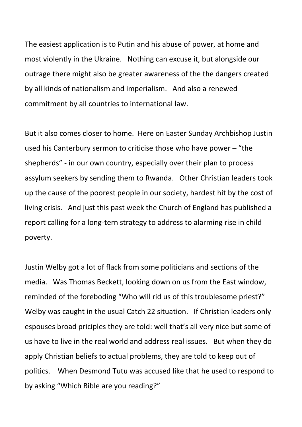The easiest application is to Putin and his abuse of power, at home and most violently in the Ukraine. Nothing can excuse it, but alongside our outrage there might also be greater awareness of the the dangers created by all kinds of nationalism and imperialism. And also a renewed commitment by all countries to international law.

But it also comes closer to home. Here on Easter Sunday Archbishop Justin used his Canterbury sermon to criticise those who have power – "the shepherds" - in our own country, especially over their plan to process assylum seekers by sending them to Rwanda. Other Christian leaders took up the cause of the poorest people in our society, hardest hit by the cost of living crisis. And just this past week the Church of England has published a report calling for a long-tern strategy to address to alarming rise in child poverty.

Justin Welby got a lot of flack from some politicians and sections of the media. Was Thomas Beckett, looking down on us from the East window, reminded of the foreboding "Who will rid us of this troublesome priest?" Welby was caught in the usual Catch 22 situation. If Christian leaders only espouses broad priciples they are told: well that's all very nice but some of us have to live in the real world and address real issues. But when they do apply Christian beliefs to actual problems, they are told to keep out of politics. When Desmond Tutu was accused like that he used to respond to by asking "Which Bible are you reading?"